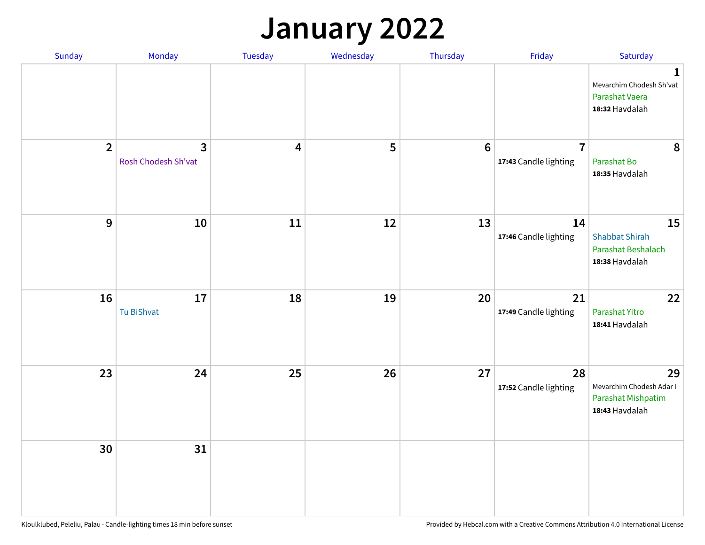### **January 2022**

| Sunday         | Monday                              | Tuesday                 | Wednesday | Thursday        | Friday                                  | Saturday                                                                     |
|----------------|-------------------------------------|-------------------------|-----------|-----------------|-----------------------------------------|------------------------------------------------------------------------------|
|                |                                     |                         |           |                 |                                         | $\mathbf{1}$<br>Mevarchim Chodesh Sh'vat<br>Parashat Vaera<br>18:32 Havdalah |
| $\overline{2}$ | $\mathbf{3}$<br>Rosh Chodesh Sh'vat | $\overline{\mathbf{4}}$ | 5         | $6\phantom{1}6$ | $\overline{7}$<br>17:43 Candle lighting | 8<br>Parashat Bo<br>18:35 Havdalah                                           |
| $9$            | 10                                  | 11                      | 12        | 13              | 14<br>17:46 Candle lighting             | 15<br><b>Shabbat Shirah</b><br>Parashat Beshalach<br>18:38 Havdalah          |
| 16             | 17<br>Tu BiShvat                    | 18                      | 19        | 20              | 21<br>17:49 Candle lighting             | 22<br>Parashat Yitro<br>18:41 Havdalah                                       |
| 23             | 24                                  | 25                      | 26        | 27              | 28<br>17:52 Candle lighting             | 29<br>Mevarchim Chodesh Adar I<br>Parashat Mishpatim<br>18:43 Havdalah       |
| 30             | 31                                  |                         |           |                 |                                         |                                                                              |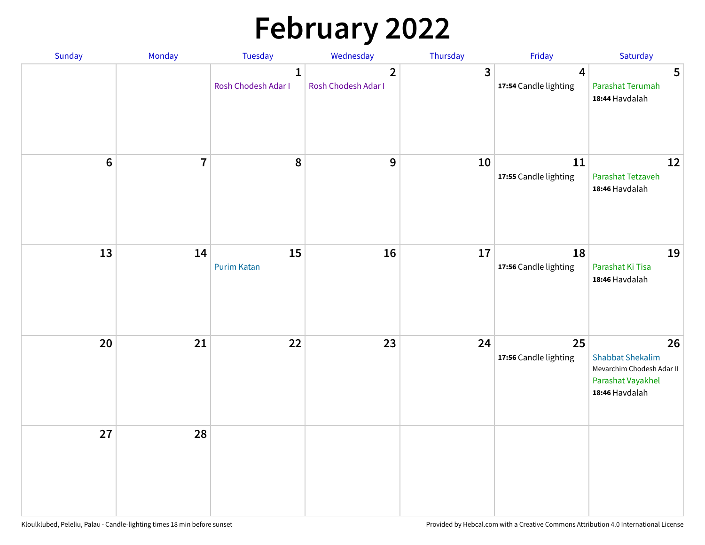# **February 2022**

| Sunday | Monday                  | <b>Tuesday</b>                      | Wednesday                             | Thursday | Friday                                           | Saturday                                                                                          |
|--------|-------------------------|-------------------------------------|---------------------------------------|----------|--------------------------------------------------|---------------------------------------------------------------------------------------------------|
|        |                         | $\mathbf{1}$<br>Rosh Chodesh Adar I | $\overline{2}$<br>Rosh Chodesh Adar I | 3        | $\overline{\mathbf{4}}$<br>17:54 Candle lighting | 5<br>Parashat Terumah<br>18:44 Havdalah                                                           |
| $6\,$  | $\overline{\mathbf{7}}$ | 8                                   | 9                                     | 10       | 11<br>17:55 Candle lighting                      | 12<br>Parashat Tetzaveh<br>18:46 Havdalah                                                         |
| 13     | 14                      | 15<br><b>Purim Katan</b>            | 16                                    | 17       | 18<br>17:56 Candle lighting                      | 19<br>Parashat Ki Tisa<br>18:46 Havdalah                                                          |
| 20     | 21                      | 22                                  | 23                                    | 24       | 25<br>17:56 Candle lighting                      | 26<br><b>Shabbat Shekalim</b><br>Mevarchim Chodesh Adar II<br>Parashat Vayakhel<br>18:46 Havdalah |
| 27     | 28                      |                                     |                                       |          |                                                  |                                                                                                   |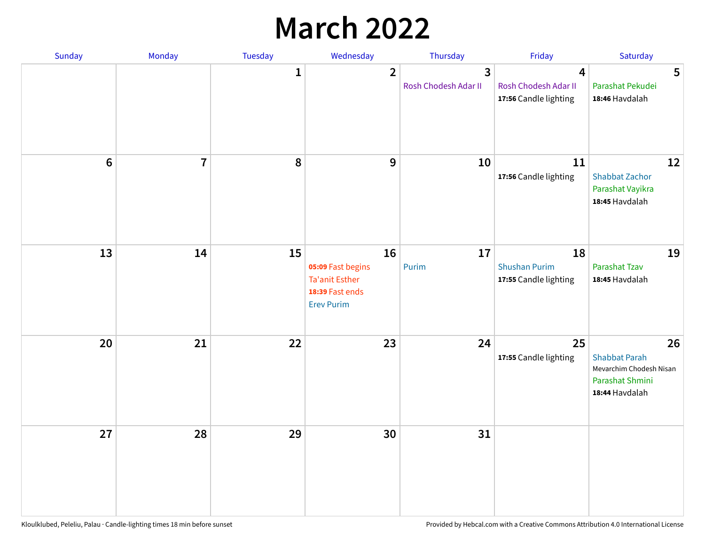## **March 2022**

| Sunday  | <b>Monday</b>  | Tuesday      | Wednesday                                                                                | Thursday                                        | Friday                                              | Saturday                                                                                   |
|---------|----------------|--------------|------------------------------------------------------------------------------------------|-------------------------------------------------|-----------------------------------------------------|--------------------------------------------------------------------------------------------|
|         |                | $\mathbf{1}$ | $\overline{2}$                                                                           | $\overline{\mathbf{3}}$<br>Rosh Chodesh Adar II | 4<br>Rosh Chodesh Adar II<br>17:56 Candle lighting  | 5<br>Parashat Pekudei<br>18:46 Havdalah                                                    |
| $\bf 6$ | $\overline{7}$ | 8            | 9                                                                                        | 10                                              | 11<br>17:56 Candle lighting                         | 12<br><b>Shabbat Zachor</b><br>Parashat Vayikra<br>18:45 Havdalah                          |
| 13      | 14             | 15           | 16<br>05:09 Fast begins<br><b>Ta'anit Esther</b><br>18:39 Fast ends<br><b>Erev Purim</b> | 17<br>Purim                                     | 18<br><b>Shushan Purim</b><br>17:55 Candle lighting | 19<br>Parashat Tzav<br>18:45 Havdalah                                                      |
| 20      | 21             | 22           | 23                                                                                       | 24                                              | 25<br>17:55 Candle lighting                         | 26<br><b>Shabbat Parah</b><br>Mevarchim Chodesh Nisan<br>Parashat Shmini<br>18:44 Havdalah |
| 27      | 28             | 29           | 30                                                                                       | 31                                              |                                                     |                                                                                            |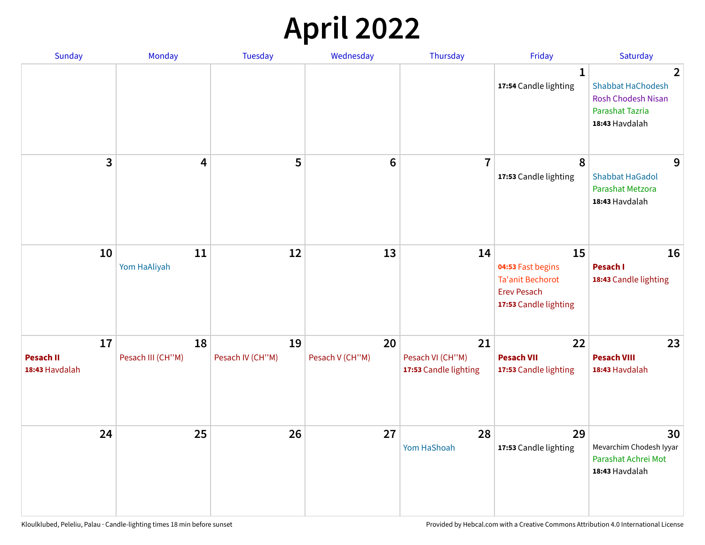## **April 2022**

| Sunday                                   | Monday                  | <b>Tuesday</b>         | Wednesday             | Thursday                                        | Friday                                                                                            | Saturday                                                                                                            |
|------------------------------------------|-------------------------|------------------------|-----------------------|-------------------------------------------------|---------------------------------------------------------------------------------------------------|---------------------------------------------------------------------------------------------------------------------|
|                                          |                         |                        |                       |                                                 | $\mathbf{1}$<br>17:54 Candle lighting                                                             | $\overline{2}$<br><b>Shabbat HaChodesh</b><br><b>Rosh Chodesh Nisan</b><br><b>Parashat Tazria</b><br>18:43 Havdalah |
| 3                                        | $\overline{\mathbf{4}}$ | 5                      | $6\phantom{1}6$       | $\overline{7}$                                  | 8<br>17:53 Candle lighting                                                                        | 9<br><b>Shabbat HaGadol</b><br>Parashat Metzora<br>18:43 Havdalah                                                   |
| 10                                       | 11<br>Yom HaAliyah      | 12                     | 13                    | 14                                              | 15<br>04:53 Fast begins<br><b>Ta'anit Bechorot</b><br><b>Erev Pesach</b><br>17:53 Candle lighting | 16<br>Pesach I<br>18:43 Candle lighting                                                                             |
| 17<br><b>Pesach II</b><br>18:43 Havdalah | 18<br>Pesach III (CH"M) | 19<br>Pesach IV (CH"M) | 20<br>Pesach V (CH"M) | 21<br>Pesach VI (CH"M)<br>17:53 Candle lighting | 22<br><b>Pesach VII</b><br>17:53 Candle lighting                                                  | 23<br><b>Pesach VIII</b><br>18:43 Havdalah                                                                          |
| 24                                       | 25                      | 26                     | 27                    | 28<br>Yom HaShoah                               | 29<br>17:53 Candle lighting                                                                       | 30<br>Mevarchim Chodesh Iyyar<br>Parashat Achrei Mot<br>18:43 Havdalah                                              |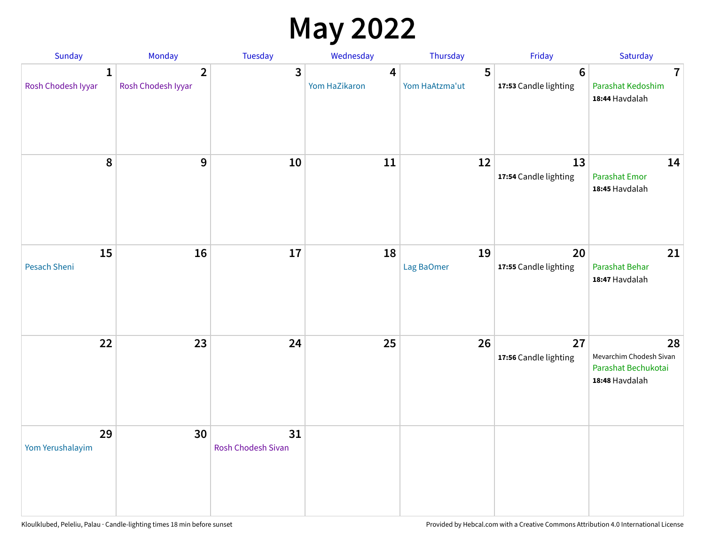## **May 2022**

| Sunday                             | Monday                               | Tuesday                         | Wednesday          | Thursday            | Friday                                   | Saturday                                                               |
|------------------------------------|--------------------------------------|---------------------------------|--------------------|---------------------|------------------------------------------|------------------------------------------------------------------------|
| $\mathbf{1}$<br>Rosh Chodesh Iyyar | $\overline{2}$<br>Rosh Chodesh Iyyar | 3                               | 4<br>Yom HaZikaron | 5<br>Yom HaAtzma'ut | $6\phantom{1}6$<br>17:53 Candle lighting | $\overline{7}$<br>Parashat Kedoshim<br>18:44 Havdalah                  |
| $\pmb{8}$                          | $\mathbf{9}$                         | 10                              | 11                 | 12                  | 13<br>17:54 Candle lighting              | 14<br><b>Parashat Emor</b><br>18:45 Havdalah                           |
| 15<br>Pesach Sheni                 | 16                                   | 17                              | 18                 | 19<br>Lag BaOmer    | 20<br>17:55 Candle lighting              | 21<br>Parashat Behar<br>18:47 Havdalah                                 |
| 22                                 | 23                                   | 24                              | 25                 | 26                  | 27<br>17:56 Candle lighting              | 28<br>Mevarchim Chodesh Sivan<br>Parashat Bechukotai<br>18:48 Havdalah |
| 29<br>Yom Yerushalayim             | 30                                   | 31<br><b>Rosh Chodesh Sivan</b> |                    |                     |                                          |                                                                        |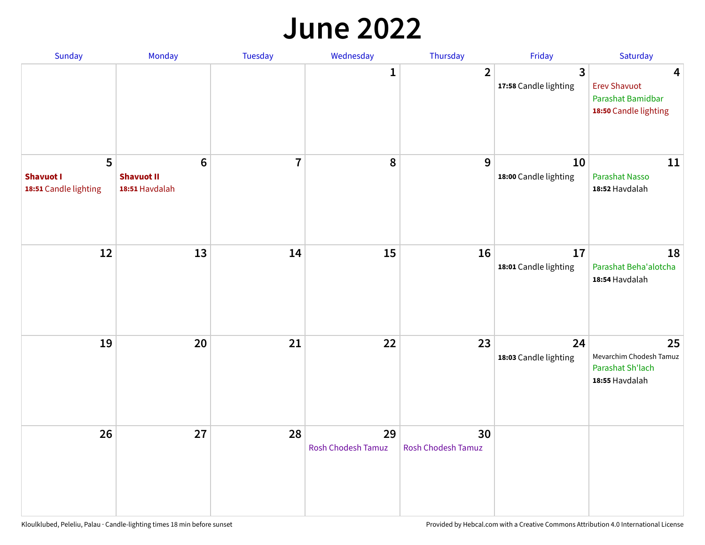#### **June 2022**

| Sunday                                         | Monday                                                | Tuesday        | Wednesday                       | Thursday                        | Friday                      | Saturday                                                               |
|------------------------------------------------|-------------------------------------------------------|----------------|---------------------------------|---------------------------------|-----------------------------|------------------------------------------------------------------------|
|                                                |                                                       |                | 1                               | $\overline{2}$                  | 3<br>17:58 Candle lighting  | 4<br><b>Erev Shavuot</b><br>Parashat Bamidbar<br>18:50 Candle lighting |
| 5<br><b>Shavuot I</b><br>18:51 Candle lighting | $6\phantom{1}$<br><b>Shavuot II</b><br>18:51 Havdalah | $\overline{7}$ | 8                               | 9                               | 10<br>18:00 Candle lighting | 11<br><b>Parashat Nasso</b><br>18:52 Havdalah                          |
| 12                                             | 13                                                    | 14             | 15                              | 16                              | 17<br>18:01 Candle lighting | 18<br>Parashat Beha'alotcha<br>18:54 Havdalah                          |
| 19                                             | 20                                                    | 21             | 22                              | 23                              | 24<br>18:03 Candle lighting | 25<br>Mevarchim Chodesh Tamuz<br>Parashat Sh'lach<br>18:55 Havdalah    |
| 26                                             | 27                                                    | 28             | 29<br><b>Rosh Chodesh Tamuz</b> | 30<br><b>Rosh Chodesh Tamuz</b> |                             |                                                                        |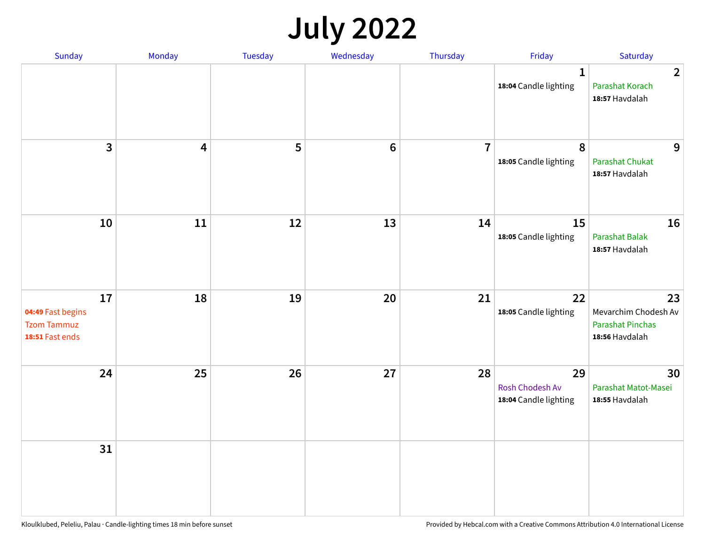## **July 2022**

| Sunday                                                           | Monday | Tuesday | Wednesday | Thursday       | Friday                                         | Saturday                                                                |
|------------------------------------------------------------------|--------|---------|-----------|----------------|------------------------------------------------|-------------------------------------------------------------------------|
|                                                                  |        |         |           |                | $\mathbf{1}$<br>18:04 Candle lighting          | $\overline{2}$<br>Parashat Korach<br>18:57 Havdalah                     |
| $\mathbf{3}$                                                     | 4      | 5       | $\bf 6$   | $\overline{7}$ | 8<br>18:05 Candle lighting                     | 9<br>Parashat Chukat<br>18:57 Havdalah                                  |
| 10                                                               | 11     | 12      | 13        | 14             | 15<br>18:05 Candle lighting                    | 16<br>Parashat Balak<br>18:57 Havdalah                                  |
| 17<br>04:49 Fast begins<br><b>Tzom Tammuz</b><br>18:51 Fast ends | 18     | 19      | 20        | 21             | 22<br>18:05 Candle lighting                    | 23<br>Mevarchim Chodesh Av<br><b>Parashat Pinchas</b><br>18:56 Havdalah |
| 24                                                               | 25     | 26      | 27        | 28             | 29<br>Rosh Chodesh Av<br>18:04 Candle lighting | 30<br>Parashat Matot-Masei<br>18:55 Havdalah                            |
| 31                                                               |        |         |           |                |                                                |                                                                         |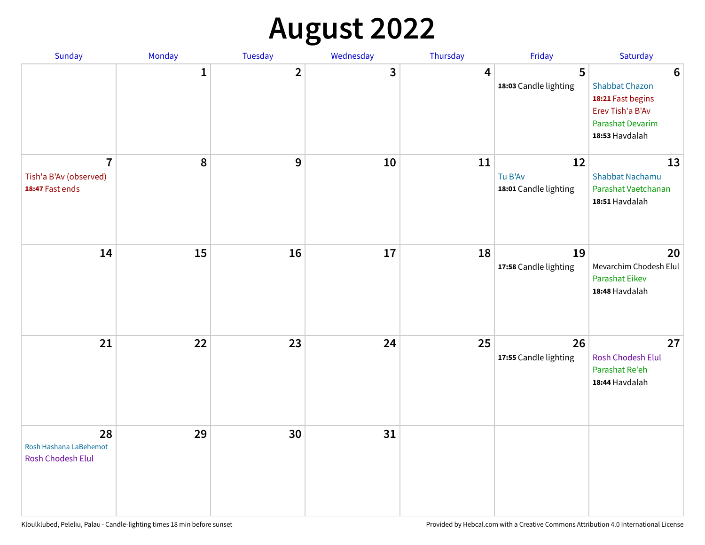## **August 2022**

| Sunday                                                      | Monday       | <b>Tuesday</b> | Wednesday | Thursday | Friday                                 | Saturday                                                                                                                       |
|-------------------------------------------------------------|--------------|----------------|-----------|----------|----------------------------------------|--------------------------------------------------------------------------------------------------------------------------------|
|                                                             | $\mathbf{1}$ | $\overline{2}$ | 3         | 4        | 5<br>18:03 Candle lighting             | $6\phantom{1}6$<br><b>Shabbat Chazon</b><br>18:21 Fast begins<br>Erev Tish'a B'Av<br><b>Parashat Devarim</b><br>18:53 Havdalah |
| $\overline{7}$<br>Tish'a B'Av (observed)<br>18:47 Fast ends | 8            | 9              | 10        | 11       | 12<br>Tu B'Av<br>18:01 Candle lighting | 13<br><b>Shabbat Nachamu</b><br>Parashat Vaetchanan<br>18:51 Havdalah                                                          |
| 14                                                          | 15           | 16             | 17        | 18       | 19<br>17:58 Candle lighting            | 20<br>Mevarchim Chodesh Elul<br><b>Parashat Eikev</b><br>18:48 Havdalah                                                        |
| 21                                                          | 22           | 23             | 24        | 25       | 26<br>17:55 Candle lighting            | 27<br><b>Rosh Chodesh Elul</b><br>Parashat Re'eh<br>18:44 Havdalah                                                             |
| 28<br>Rosh Hashana LaBehemot<br><b>Rosh Chodesh Elul</b>    | 29           | 30             | 31        |          |                                        |                                                                                                                                |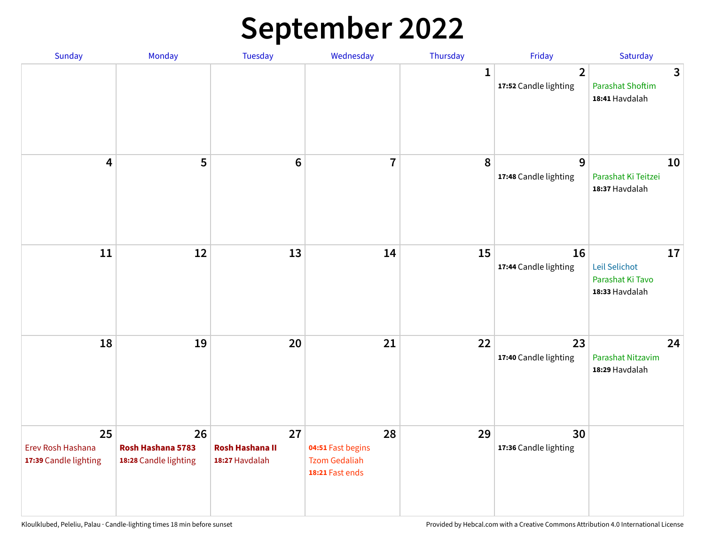## **September 2022**

| Sunday                                           | Monday                                           | Tuesday                                        | Wednesday                                                          | Thursday     | Friday                                  | Saturday                                                  |
|--------------------------------------------------|--------------------------------------------------|------------------------------------------------|--------------------------------------------------------------------|--------------|-----------------------------------------|-----------------------------------------------------------|
|                                                  |                                                  |                                                |                                                                    | $\mathbf{1}$ | $\overline{2}$<br>17:52 Candle lighting | 3<br><b>Parashat Shoftim</b><br>18:41 Havdalah            |
| $\overline{\mathbf{4}}$                          | 5                                                | $6\phantom{1}6$                                | $\overline{7}$                                                     | 8            | 9<br>17:48 Candle lighting              | 10<br>Parashat Ki Teitzei<br>18:37 Havdalah               |
| 11                                               | 12                                               | 13                                             | 14                                                                 | 15           | 16<br>17:44 Candle lighting             | 17<br>Leil Selichot<br>Parashat Ki Tavo<br>18:33 Havdalah |
| 18                                               | 19                                               | 20                                             | 21                                                                 | 22           | 23<br>17:40 Candle lighting             | 24<br>Parashat Nitzavim<br>18:29 Havdalah                 |
| 25<br>Erev Rosh Hashana<br>17:39 Candle lighting | 26<br>Rosh Hashana 5783<br>18:28 Candle lighting | 27<br><b>Rosh Hashana II</b><br>18:27 Havdalah | 28<br>04:51 Fast begins<br><b>Tzom Gedaliah</b><br>18:21 Fast ends | 29           | 30<br>17:36 Candle lighting             |                                                           |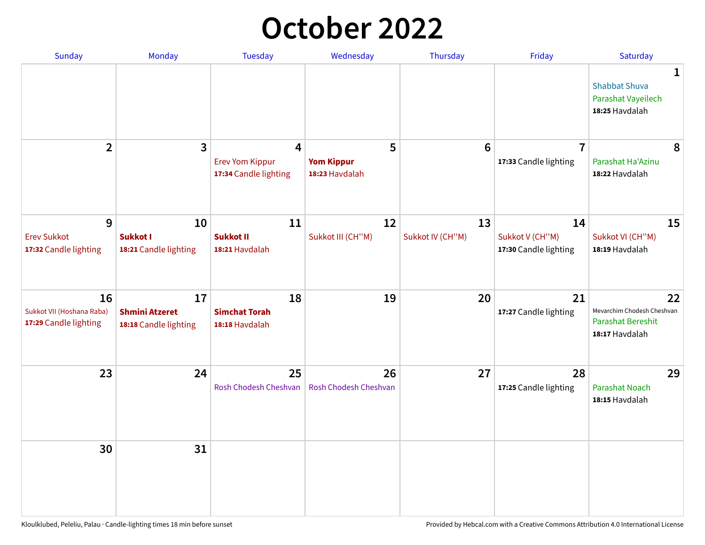## **October 2022**

| Sunday                                                   | <b>Monday</b>                                        | <b>Tuesday</b>                                                    | Wednesday                                | Thursday               | Friday                                         | Saturday                                                                |
|----------------------------------------------------------|------------------------------------------------------|-------------------------------------------------------------------|------------------------------------------|------------------------|------------------------------------------------|-------------------------------------------------------------------------|
|                                                          |                                                      |                                                                   |                                          |                        |                                                | 1<br><b>Shabbat Shuva</b><br>Parashat Vayeilech<br>18:25 Havdalah       |
| $\overline{2}$                                           | $\overline{\mathbf{3}}$                              | $\overline{4}$<br><b>Erev Yom Kippur</b><br>17:34 Candle lighting | 5<br><b>Yom Kippur</b><br>18:23 Havdalah | 6                      | $\overline{7}$<br>17:33 Candle lighting        | 8<br>Parashat Ha'Azinu<br>18:22 Havdalah                                |
| 9<br><b>Erev Sukkot</b><br>17:32 Candle lighting         | 10<br><b>Sukkot I</b><br>18:21 Candle lighting       | 11<br><b>Sukkot II</b><br>18:21 Havdalah                          | 12<br>Sukkot III (CH"M)                  | 13<br>Sukkot IV (CH"M) | 14<br>Sukkot V (CH"M)<br>17:30 Candle lighting | 15<br>Sukkot VI (CH"M)<br>18:19 Havdalah                                |
| 16<br>Sukkot VII (Hoshana Raba)<br>17:29 Candle lighting | 17<br><b>Shmini Atzeret</b><br>18:18 Candle lighting | 18<br><b>Simchat Torah</b><br>18:18 Havdalah                      | 19                                       | 20                     | 21<br>17:27 Candle lighting                    | 22<br>Mevarchim Chodesh Cheshvan<br>Parashat Bereshit<br>18:17 Havdalah |
| 23                                                       | 24                                                   | 25<br>Rosh Chodesh Cheshvan                                       | 26<br>Rosh Chodesh Cheshvan              | 27                     | 28<br>17:25 Candle lighting                    | 29<br><b>Parashat Noach</b><br>18:15 Havdalah                           |
| 30                                                       | 31                                                   |                                                                   |                                          |                        |                                                |                                                                         |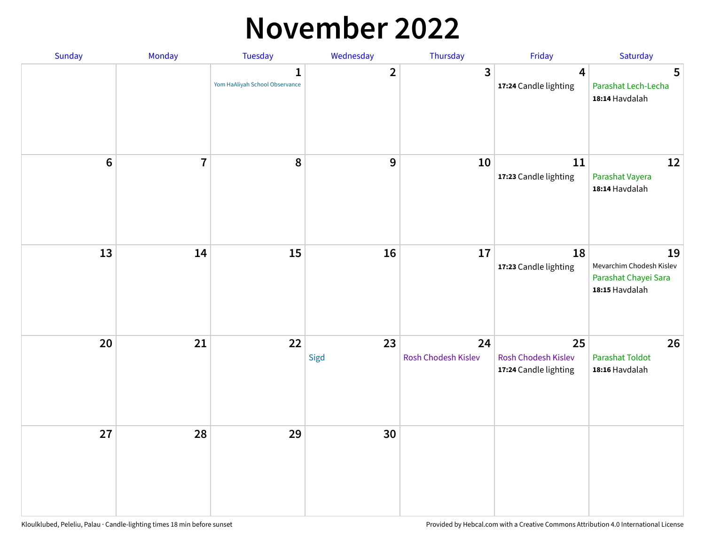### **November 2022**

| Sunday         | Monday         | Tuesday                             | Wednesday               | Thursday                  | Friday                                             | Saturday                                                                 |
|----------------|----------------|-------------------------------------|-------------------------|---------------------------|----------------------------------------------------|--------------------------------------------------------------------------|
|                |                | 1<br>Yom HaAliyah School Observance | $\overline{\mathbf{2}}$ | $\mathbf{3}$              | $\overline{\mathbf{4}}$<br>17:24 Candle lighting   | 5<br>Parashat Lech-Lecha<br>18:14 Havdalah                               |
| $6\phantom{1}$ | $\overline{7}$ | 8                                   | $\boldsymbol{9}$        | 10                        | $11\,$<br>17:23 Candle lighting                    | 12<br>Parashat Vayera<br>18:14 Havdalah                                  |
| 13             | 14             | 15                                  | 16                      | 17                        | 18<br>17:23 Candle lighting                        | 19<br>Mevarchim Chodesh Kislev<br>Parashat Chayei Sara<br>18:15 Havdalah |
| 20             | 21             | 22                                  | 23<br>Sigd              | 24<br>Rosh Chodesh Kislev | 25<br>Rosh Chodesh Kislev<br>17:24 Candle lighting | 26<br><b>Parashat Toldot</b><br>18:16 Havdalah                           |
| 27             | 28             | 29                                  | 30                      |                           |                                                    |                                                                          |